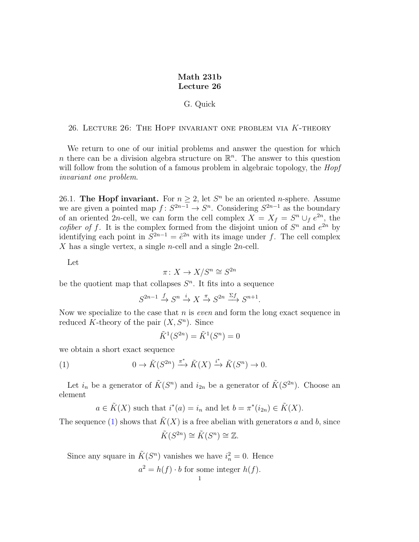## Math 231b Lecture 26

## G. Quick

26. Lecture 26: The Hopf invariant one problem via K-theory

We return to one of our initial problems and answer the question for which *n* there can be a division algebra structure on  $\mathbb{R}^n$ . The answer to this question will follow from the solution of a famous problem in algebraic topology, the *Hopf* invariant one problem.

26.1. The Hopf invariant. For  $n \geq 2$ , let  $S<sup>n</sup>$  be an oriented *n*-sphere. Assume we are given a pointed map  $f: S^{2n-1} \to S^n$ . Considering  $S^{2n-1}$  as the boundary of an oriented 2n-cell, we can form the cell complex  $X = X_f = S^n \cup_f e^{2n}$ , the cofiber of f. It is the complex formed from the disjoint union of  $S<sup>n</sup>$  and  $e<sup>2n</sup>$  by identifying each point in  $S^{2n-1} = e^{2n}$  with its image under f. The cell complex X has a single vertex, a single n-cell and a single  $2n$ -cell.

Let

$$
\pi \colon X \to X/S^n \cong S^{2n}
$$

be the quotient map that collapses  $S<sup>n</sup>$ . It fits into a sequence

$$
S^{2n-1} \xrightarrow{f} S^n \xrightarrow{i} X \xrightarrow{\pi} S^{2n} \xrightarrow{\Sigma f} S^{n+1}.
$$

Now we specialize to the case that  $n$  is *even* and form the long exact sequence in reduced K-theory of the pair  $(X, S<sup>n</sup>)$ . Since

<span id="page-0-0"></span>
$$
\tilde{K}^1(S^{2n}) = \tilde{K}^1(S^n) = 0
$$

we obtain a short exact sequence

(1) 
$$
0 \to \tilde{K}(S^{2n}) \xrightarrow{\pi^*} \tilde{K}(X) \xrightarrow{i^*} \tilde{K}(S^n) \to 0.
$$

Let  $i_n$  be a generator of  $\tilde{K}(S^n)$  and  $i_{2n}$  be a generator of  $\tilde{K}(S^{2n})$ . Choose an element

$$
a \in \tilde{K}(X)
$$
 such that  $i^*(a) = i_n$  and let  $b = \pi^*(i_{2n}) \in \tilde{K}(X)$ .

The sequence [\(1\)](#page-0-0) shows that  $\tilde{K}(X)$  is a free abelian with generators a and b, since

$$
\tilde{K}(S^{2n}) \cong \tilde{K}(S^n) \cong \mathbb{Z}.
$$

Since any square in  $\tilde{K}(S^n)$  vanishes we have  $i_n^2 = 0$ . Hence  $a^2 = h(f) \cdot b$  for some integer  $h(f)$ .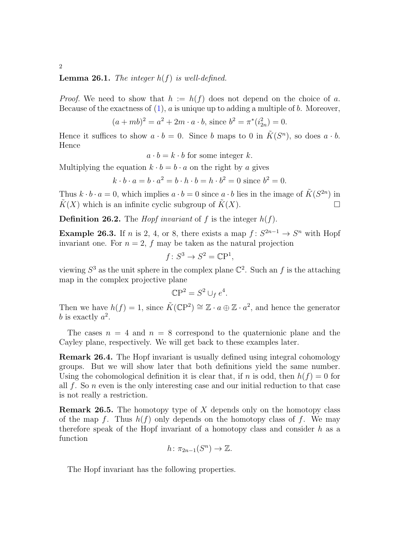## **Lemma 26.1.** The integer  $h(f)$  is well-defined.

*Proof.* We need to show that  $h := h(f)$  does not depend on the choice of a. Because of the exactness of  $(1)$ ,  $\alpha$  is unique up to adding a multiple of  $b$ . Moreover,

$$
(a+mb)^2 = a^2 + 2m \cdot a \cdot b, \text{ since } b^2 = \pi^*(i_{2n}^2) = 0.
$$

Hence it suffices to show  $a \cdot b = 0$ . Since b maps to 0 in  $\tilde{K}(S^n)$ , so does  $a \cdot b$ . Hence

 $a \cdot b = k \cdot b$  for some integer k.

Multiplying the equation  $k \cdot b = b \cdot a$  on the right by a gives

$$
k \cdot b \cdot a = b \cdot a^2 = b \cdot h \cdot b = h \cdot b^2 = 0
$$
 since  $b^2 = 0$ .

Thus  $k \cdot b \cdot a = 0$ , which implies  $a \cdot b = 0$  since  $a \cdot b$  lies in the image of  $\tilde{K}(S^{2n})$  in  $K(X)$  which is an infinite cyclic subgroup of  $\tilde{K}(X)$ .

**Definition 26.2.** The *Hopf invariant* of f is the integer  $h(f)$ .

**Example 26.3.** If *n* is 2, 4, or 8, there exists a map  $f: S^{2n-1} \to S^n$  with Hopf invariant one. For  $n = 2$ , f may be taken as the natural projection

$$
f \colon S^3 \to S^2 = \mathbb{C}\mathbf{P}^1
$$

,

viewing  $S^3$  as the unit sphere in the complex plane  $\mathbb{C}^2$ . Such an f is the attaching map in the complex projective plane

$$
\mathbb{C}\mathbf{P}^2 = S^2 \cup_f e^4.
$$

Then we have  $h(f) = 1$ , since  $\tilde{K}(\mathbb{C}\mathrm{P}^2) \cong \mathbb{Z} \cdot a \oplus \mathbb{Z} \cdot a^2$ , and hence the generator b is exactly  $a^2$ .

The cases  $n = 4$  and  $n = 8$  correspond to the quaternionic plane and the Cayley plane, respectively. We will get back to these examples later.

Remark 26.4. The Hopf invariant is usually defined using integral cohomology groups. But we will show later that both definitions yield the same number. Using the cohomological definition it is clear that, if n is odd, then  $h(f) = 0$  for all  $f$ . So  $n$  even is the only interesting case and our initial reduction to that case is not really a restriction.

**Remark 26.5.** The homotopy type of  $X$  depends only on the homotopy class of the map f. Thus  $h(f)$  only depends on the homotopy class of f. We may therefore speak of the Hopf invariant of a homotopy class and consider  $h$  as a function

$$
h\colon \pi_{2n-1}(S^n)\to \mathbb{Z}.
$$

The Hopf invariant has the following properties.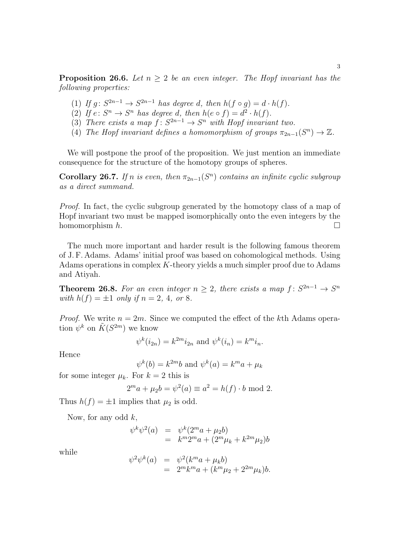**Proposition 26.6.** Let  $n \geq 2$  be an even integer. The Hopf invariant has the following properties:

- (1) If  $g: S^{2n-1} \to S^{2n-1}$  has degree d, then  $h(f \circ g) = d \cdot h(f)$ .
- (2) If  $e: S^n \to S^n$  has degree d, then  $h(e \circ f) = d^2 \cdot h(f)$ .
- (3) There exists a map  $f: S^{2n-1} \to S^n$  with Hopf invariant two.
- (4) The Hopf invariant defines a homomorphism of groups  $\pi_{2n-1}(S^n) \to \mathbb{Z}$ .

We will postpone the proof of the proposition. We just mention an immediate consequence for the structure of the homotopy groups of spheres.

Corollary 26.7. If n is even, then  $\pi_{2n-1}(S^n)$  contains an infinite cyclic subgroup as a direct summand.

Proof. In fact, the cyclic subgroup generated by the homotopy class of a map of Hopf invariant two must be mapped isomorphically onto the even integers by the homomorphism  $h$ .

The much more important and harder result is the following famous theorem of J. F. Adams. Adams' initial proof was based on cohomological methods. Using Adams operations in complex K-theory yields a much simpler proof due to Adams and Atiyah.

**Theorem 26.8.** For an even integer  $n \geq 2$ , there exists a map  $f: S^{2n-1} \to S^n$ with  $h(f) = \pm 1$  only if  $n = 2, 4,$  or 8.

*Proof.* We write  $n = 2m$ . Since we computed the effect of the kth Adams operation  $\psi^k$  on  $\tilde{K}(S^{2m})$  we know

$$
\psi^k(i_{2n}) = k^{2m} i_{2n}
$$
 and  $\psi^k(i_n) = k^m i_n$ .

Hence

$$
\psi^k(b) = k^{2m}b \text{ and } \psi^k(a) = k^m a + \mu_k
$$

for some integer  $\mu_k$ . For  $k = 2$  this is

$$
2^m a + \mu_2 b = \psi^2(a) \equiv a^2 = h(f) \cdot b \mod 2.
$$

Thus  $h(f) = \pm 1$  implies that  $\mu_2$  is odd.

Now, for any odd  $k$ ,

$$
\psi^k \psi^2(a) = \psi^k (2^m a + \mu_2 b) \n= k^m 2^m a + (2^m \mu_k + k^{2m} \mu_2) b
$$

while

$$
\psi^2 \psi^k(a) = \psi^2 (k^m a + \mu_k b) \n= 2^m k^m a + (k^m \mu_2 + 2^{2m} \mu_k) b.
$$